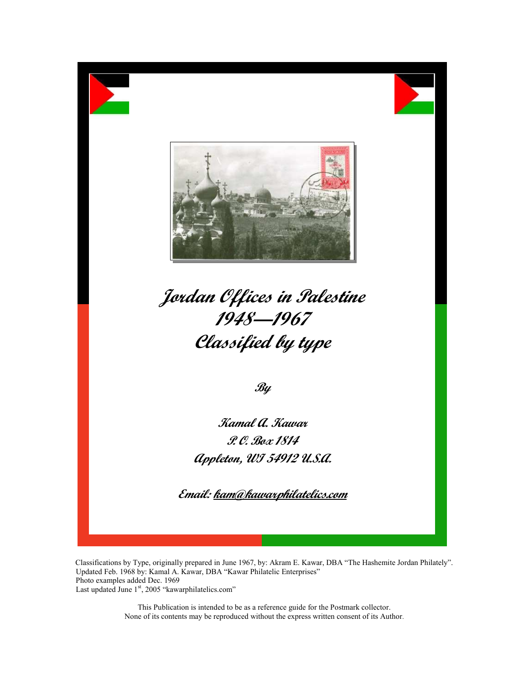

Jordan Offices in Palestine 1948—1967 Classified by type

 $\mathscr{B} \mathscr{Y}$ 

Kamal A. Kawar P. O. Box 1814 Appleton, WI 54912 U.S.A.

Email: kam@kawarphilatelics.com

Classifications by Type, originally prepared in June 1967, by: Akram E. Kawar, DBA "The Hashemite Jordan Philately". Updated Feb. 1968 by: Kamal A. Kawar, DBA "Kawar Philatelic Enterprises" Photo examples added Dec. 1969 Last updated June 1<sup>st</sup>, 2005 "kawarphilatelics.com"

> This Publication is intended to be as a reference guide for the Postmark collector. None of its contents may be reproduced without the express written consent of its Author.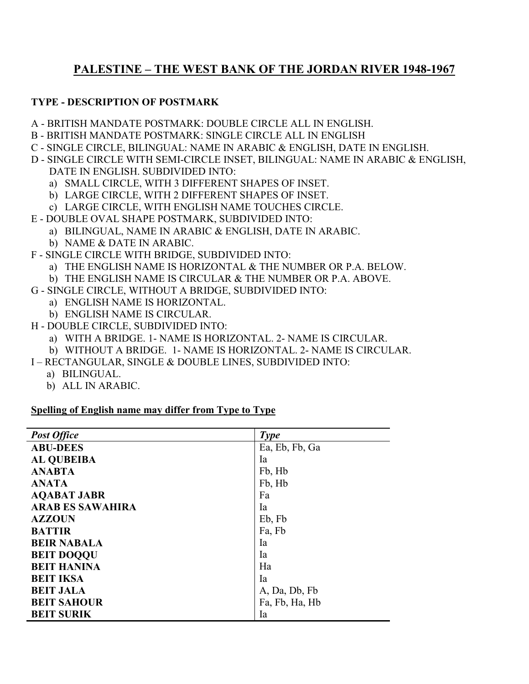# PALESTINE – THE WEST BANK OF THE JORDAN RIVER 1948-1967

### TYPE - DESCRIPTION OF POSTMARK

- A BRITISH MANDATE POSTMARK: DOUBLE CIRCLE ALL IN ENGLISH.
- B BRITISH MANDATE POSTMARK: SINGLE CIRCLE ALL IN ENGLISH
- C SINGLE CIRCLE, BILINGUAL: NAME IN ARABIC & ENGLISH, DATE IN ENGLISH.
- D SINGLE CIRCLE WITH SEMI-CIRCLE INSET, BILINGUAL: NAME IN ARABIC & ENGLISH, DATE IN ENGLISH. SUBDIVIDED INTO:
	- a) SMALL CIRCLE, WITH 3 DIFFERENT SHAPES OF INSET.
	- b) LARGE CIRCLE, WITH 2 DIFFERENT SHAPES OF INSET.
	- c) LARGE CIRCLE, WITH ENGLISH NAME TOUCHES CIRCLE.
- E DOUBLE OVAL SHAPE POSTMARK, SUBDIVIDED INTO:
	- a) BILINGUAL, NAME IN ARABIC & ENGLISH, DATE IN ARABIC.
	- b) NAME & DATE IN ARABIC.
- F SINGLE CIRCLE WITH BRIDGE, SUBDIVIDED INTO:
	- a) THE ENGLISH NAME IS HORIZONTAL & THE NUMBER OR P.A. BELOW.
	- b) THE ENGLISH NAME IS CIRCULAR & THE NUMBER OR P.A. ABOVE.
- G SINGLE CIRCLE, WITHOUT A BRIDGE, SUBDIVIDED INTO:
	- a) ENGLISH NAME IS HORIZONTAL.
	- b) ENGLISH NAME IS CIRCULAR.
- H DOUBLE CIRCLE, SUBDIVIDED INTO:
	- a) WITH A BRIDGE. 1- NAME IS HORIZONTAL. 2- NAME IS CIRCULAR.
	- b) WITHOUT A BRIDGE. 1- NAME IS HORIZONTAL. 2- NAME IS CIRCULAR.
- I RECTANGULAR, SINGLE & DOUBLE LINES, SUBDIVIDED INTO:
	- a) BILINGUAL.
	- b) ALL IN ARABIC.

#### Spelling of English name may differ from Type to Type

| <b>Post Office</b>      | <b>Type</b>    |
|-------------------------|----------------|
| <b>ABU-DEES</b>         | Ea, Eb, Fb, Ga |
| <b>AL QUBEIBA</b>       | Ia             |
| <b>ANABTA</b>           | Fb, Hb         |
| <b>ANATA</b>            | Fb, Hb         |
| <b>AQABAT JABR</b>      | Fa             |
| <b>ARAB ES SAWAHIRA</b> | Ia             |
| <b>AZZOUN</b>           | Eb, Fb         |
| <b>BATTIR</b>           | Fa, Fb         |
| <b>BEIR NABALA</b>      | Ia             |
| <b>BEIT DOOQU</b>       | Ia             |
| <b>BEIT HANINA</b>      | Ha             |
| <b>BEIT IKSA</b>        | Ia             |
| <b>BEIT JALA</b>        | A, Da, Db, Fb  |
| <b>BEIT SAHOUR</b>      | Fa, Fb, Ha, Hb |
| <b>BEIT SURIK</b>       | Ia             |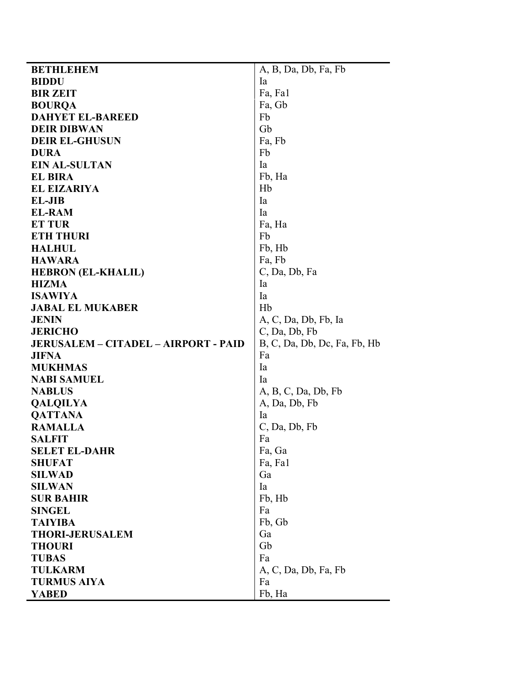| <b>BETHLEHEM</b>                            | A, B, Da, Db, Fa, Fb         |  |  |
|---------------------------------------------|------------------------------|--|--|
| <b>BIDDU</b>                                | Ia                           |  |  |
| <b>BIR ZEIT</b>                             | Fa, Fal                      |  |  |
| <b>BOURQA</b>                               | Fa, Gb                       |  |  |
| <b>DAHYET EL-BAREED</b>                     | Fb                           |  |  |
| <b>DEIR DIBWAN</b>                          | Gb                           |  |  |
| <b>DEIR EL-GHUSUN</b>                       | Fa, Fb                       |  |  |
| <b>DURA</b>                                 | Fb                           |  |  |
| <b>EIN AL-SULTAN</b>                        | Ia                           |  |  |
| <b>EL BIRA</b>                              | Fb, Ha                       |  |  |
| <b>EL EIZARIYA</b>                          | Hb                           |  |  |
| <b>EL-JIB</b>                               | Ia                           |  |  |
| <b>EL-RAM</b>                               | Ia                           |  |  |
| <b>ET TUR</b>                               | Fa, Ha                       |  |  |
| <b>ETH THURI</b>                            | Fb                           |  |  |
| <b>HALHUL</b>                               | Fb, Hb                       |  |  |
| <b>HAWARA</b>                               | Fa, Fb                       |  |  |
| <b>HEBRON (EL-KHALIL)</b>                   | C, Da, Db, Fa                |  |  |
| <b>HIZMA</b>                                | Ia                           |  |  |
| <b>ISAWIYA</b>                              | Ia                           |  |  |
| <b>JABAL EL MUKABER</b>                     | Hb                           |  |  |
| <b>JENIN</b>                                | A, C, Da, Db, Fb, Ia         |  |  |
| <b>JERICHO</b>                              | C, Da, Db, Fb                |  |  |
| <b>JERUSALEM - CITADEL - AIRPORT - PAID</b> | B, C, Da, Db, Dc, Fa, Fb, Hb |  |  |
| <b>JIFNA</b>                                | Fa                           |  |  |
| <b>MUKHMAS</b>                              | Ia                           |  |  |
| <b>NABI SAMUEL</b>                          | Ia                           |  |  |
| <b>NABLUS</b>                               | A, B, C, Da, Db, Fb          |  |  |
| <b>QALQILYA</b>                             | A, Da, Db, Fb                |  |  |
| <b>QATTANA</b>                              | <b>l</b> a                   |  |  |
| <b>RAMALLA</b>                              | C, Da, Db, Fb                |  |  |
| <b>SALFIT</b>                               | Fa                           |  |  |
| <b>SELET EL-DAHR</b>                        | Fa, Ga                       |  |  |
| <b>SHUFAT</b>                               | Fa, Fal                      |  |  |
| <b>SILWAD</b>                               | Ga                           |  |  |
| <b>SILWAN</b>                               | Ia                           |  |  |
| <b>SUR BAHIR</b>                            | Fb, Hb                       |  |  |
| <b>SINGEL</b>                               | Fa                           |  |  |
| <b>TAIYIBA</b>                              | Fb, Gb                       |  |  |
| <b>THORI-JERUSALEM</b>                      | Ga                           |  |  |
| <b>THOURI</b>                               | Gb                           |  |  |
| <b>TUBAS</b>                                | Fa                           |  |  |
| <b>TULKARM</b>                              | A, C, Da, Db, Fa, Fb         |  |  |
| <b>TURMUS AIYA</b>                          | Fa                           |  |  |
| <b>YABED</b>                                | Fb, Ha                       |  |  |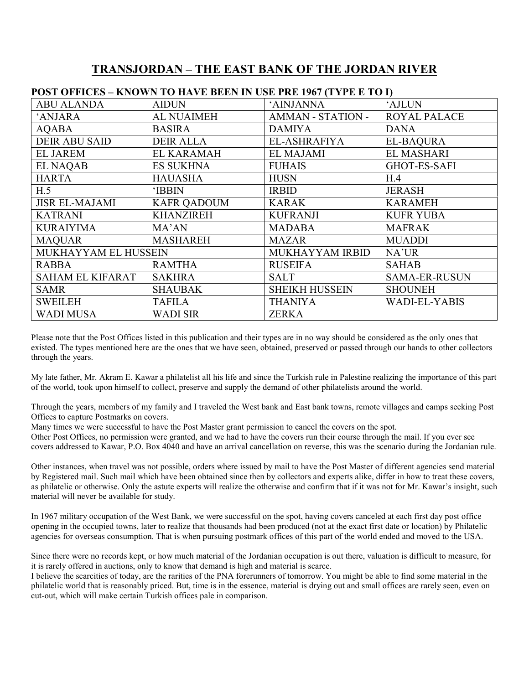## TRANSJORDAN – THE EAST BANK OF THE JORDAN RIVER

| <u> FUST UFFICES – KNUWN TU HAVE DEEN IN USE FRE 1907 (TITE E TU I)</u> |                    |                          |                      |  |
|-------------------------------------------------------------------------|--------------------|--------------------------|----------------------|--|
| <b>ABU ALANDA</b>                                                       | <b>AIDUN</b>       | 'AINJANNA                | 'AJLUN               |  |
| <b>ANJARA</b>                                                           | <b>AL NUAIMEH</b>  | <b>AMMAN - STATION -</b> | <b>ROYAL PALACE</b>  |  |
| <b>AQABA</b>                                                            | <b>BASIRA</b>      | <b>DAMIYA</b>            | <b>DANA</b>          |  |
| <b>DEIR ABU SAID</b>                                                    | <b>DEIR ALLA</b>   | EL-ASHRAFIYA             | <b>EL-BAQURA</b>     |  |
| <b>EL JAREM</b>                                                         | <b>EL KARAMAH</b>  | <b>EL MAJAMI</b>         | <b>EL MASHARI</b>    |  |
| <b>EL NAQAB</b>                                                         | <b>ES SUKHNA</b>   | <b>FUHAIS</b>            | <b>GHOT-ES-SAFI</b>  |  |
| <b>HARTA</b>                                                            | HAUASHA            | <b>HUSN</b>              | H.4                  |  |
| H.5                                                                     | <b>IBBIN</b>       | <b>IRBID</b>             | <b>JERASH</b>        |  |
| <b>JISR EL-MAJAMI</b>                                                   | <b>KAFR QADOUM</b> | <b>KARAK</b>             | <b>KARAMEH</b>       |  |
| <b>KATRANI</b>                                                          | <b>KHANZIREH</b>   | <b>KUFRANJI</b>          | <b>KUFR YUBA</b>     |  |
| <b>KURAIYIMA</b>                                                        | MA'AN              | <b>MADABA</b>            | <b>MAFRAK</b>        |  |
| <b>MAQUAR</b>                                                           | <b>MASHAREH</b>    | <b>MAZAR</b>             | <b>MUADDI</b>        |  |
| MUKHAYYAM EL HUSSEIN                                                    |                    | MUKHAYYAM IRBID          | NA'UR                |  |
| <b>RABBA</b>                                                            | <b>RAMTHA</b>      | <b>RUSEIFA</b>           | <b>SAHAB</b>         |  |
| <b>SAHAM EL KIFARAT</b>                                                 | <b>SAKHRA</b>      | <b>SALT</b>              | <b>SAMA-ER-RUSUN</b> |  |
| SAMR                                                                    | <b>SHAUBAK</b>     | <b>SHEIKH HUSSEIN</b>    | <b>SHOUNEH</b>       |  |
| <b>SWEILEH</b>                                                          | <b>TAFILA</b>      | <b>THANIYA</b>           | <b>WADI-EL-YABIS</b> |  |
| <b>WADI MUSA</b>                                                        | <b>WADI SIR</b>    | <b>ZERKA</b>             |                      |  |
|                                                                         |                    |                          |                      |  |

## POST OFFICES – KNOWN TO HAVE BEEN IN USE PRE 1967 (TYPE E TO I)

Please note that the Post Offices listed in this publication and their types are in no way should be considered as the only ones that existed. The types mentioned here are the ones that we have seen, obtained, preserved or passed through our hands to other collectors through the years.

My late father, Mr. Akram E. Kawar a philatelist all his life and since the Turkish rule in Palestine realizing the importance of this part of the world, took upon himself to collect, preserve and supply the demand of other philatelists around the world.

Through the years, members of my family and I traveled the West bank and East bank towns, remote villages and camps seeking Post Offices to capture Postmarks on covers.

Many times we were successful to have the Post Master grant permission to cancel the covers on the spot.

Other Post Offices, no permission were granted, and we had to have the covers run their course through the mail. If you ever see covers addressed to Kawar, P.O. Box 4040 and have an arrival cancellation on reverse, this was the scenario during the Jordanian rule.

Other instances, when travel was not possible, orders where issued by mail to have the Post Master of different agencies send material by Registered mail. Such mail which have been obtained since then by collectors and experts alike, differ in how to treat these covers, as philatelic or otherwise. Only the astute experts will realize the otherwise and confirm that if it was not for Mr. Kawar's insight, such material will never be available for study.

In 1967 military occupation of the West Bank, we were successful on the spot, having covers canceled at each first day post office opening in the occupied towns, later to realize that thousands had been produced (not at the exact first date or location) by Philatelic agencies for overseas consumption. That is when pursuing postmark offices of this part of the world ended and moved to the USA.

Since there were no records kept, or how much material of the Jordanian occupation is out there, valuation is difficult to measure, for it is rarely offered in auctions, only to know that demand is high and material is scarce.

I believe the scarcities of today, are the rarities of the PNA forerunners of tomorrow. You might be able to find some material in the philatelic world that is reasonably priced. But, time is in the essence, material is drying out and small offices are rarely seen, even on cut-out, which will make certain Turkish offices pale in comparison.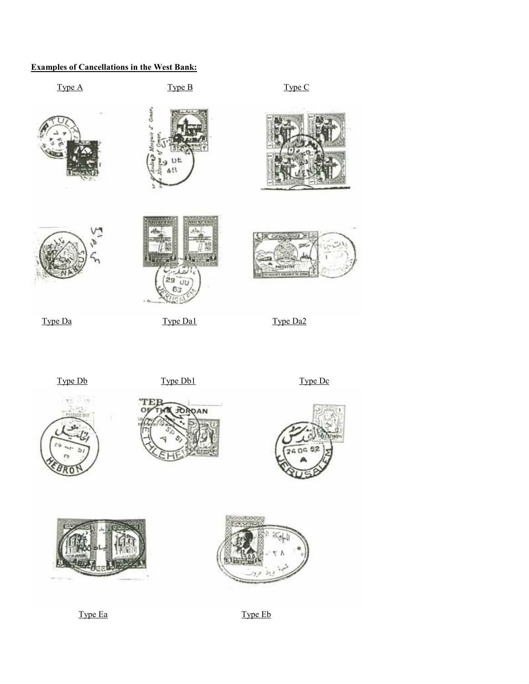## Examples of Cancellations in the West Bank:







Type Ea Type Eb